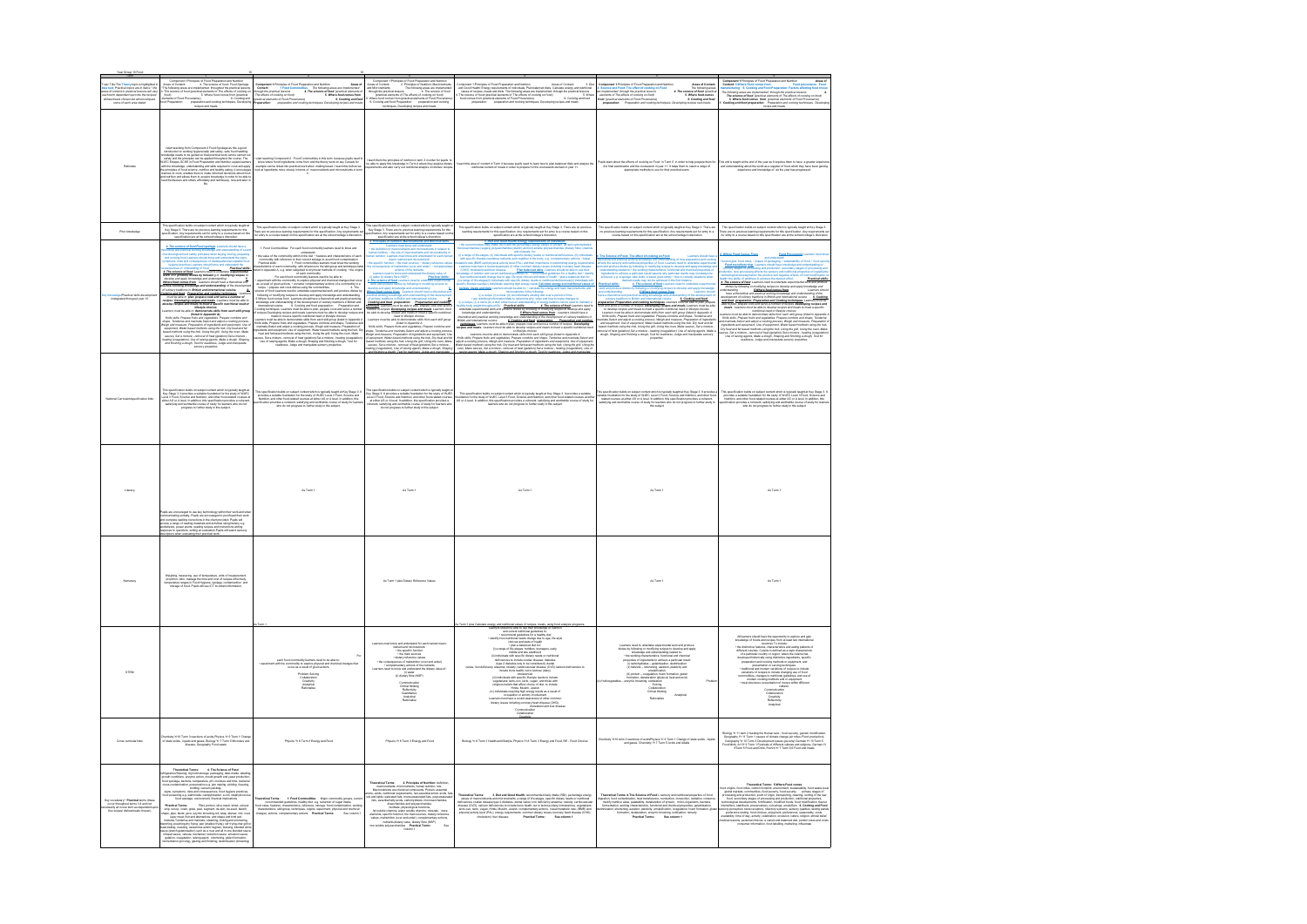|                                                                                                                                                       | Component 1:Principles of Food Preparation and Nutrition                                                                                                                                                                                                                                                                                                                                                                                                                                                                                              |                                                                                                                                                                                                                                                                                                                            | Component 1:Principles of Food Preparation and Nutrition                                                                                                                                                                                                                                             |                                                                                                                                                                                                                                                                                       |                                                                                                                                                                                                                                                | Component 1: Principles of Food Preparation and Nutrition<br>Areas of                                                                                                                                                                     |
|-------------------------------------------------------------------------------------------------------------------------------------------------------|-------------------------------------------------------------------------------------------------------------------------------------------------------------------------------------------------------------------------------------------------------------------------------------------------------------------------------------------------------------------------------------------------------------------------------------------------------------------------------------------------------------------------------------------------------|----------------------------------------------------------------------------------------------------------------------------------------------------------------------------------------------------------------------------------------------------------------------------------------------------------------------------|------------------------------------------------------------------------------------------------------------------------------------------------------------------------------------------------------------------------------------------------------------------------------------------------------|---------------------------------------------------------------------------------------------------------------------------------------------------------------------------------------------------------------------------------------------------------------------------------------|------------------------------------------------------------------------------------------------------------------------------------------------------------------------------------------------------------------------------------------------|-------------------------------------------------------------------------------------------------------------------------------------------------------------------------------------------------------------------------------------------|
| Topic Title:The Theory topic is highlighted in<br>blue text, Practical topics are in Italics * the<br>areas of content in practical lessons will vary | Areas of Content:<br>Areas of Content: 4. The science of food: Food Spoilage<br>The following areas are implemented throughout the practical lessons                                                                                                                                                                                                                                                                                                                                                                                                  | Component 1:Principles of Food Preparation and Nutrition<br>Areas o<br>Content:<br>Content: 1 Food Commodities The following areas are implemented<br>cugh the practical lessons 4. The science of food (practical elements of                                                                                             | Areas of Content:<br>2. Principles of Nutrition: Macronutrients<br>The following areas are implemented<br>and Micronutrients                                                                                                                                                                         | Component 1:Principles of Food Preparation and Nutrition<br>Areas of Content:<br>3. Die<br>and Good Health: Energy requirements of individuals, Plan balanced diets, Calculate energy and nutritional                                                                                 | Component 1: Principles of Food Preparation and Nutrition<br>Areas of Content<br>4. Science and Food: The effect of cooking on Food<br>The following areas<br>4. The science of food (practical                                                | Content: 5.Where Food comes from<br>Food provenance Food<br>nutacturing 6. Cooking and Food Preparation: Factors affecting food choice                                                                                                    |
| ach term dependent upon the the recipe                                                                                                                | . The science of food (practical elements of The effects of cooking on                                                                                                                                                                                                                                                                                                                                                                                                                                                                                | The effects of cooking on food)<br>5. Where food comes fro                                                                                                                                                                                                                                                                 | through the gractical lessons<br>4. The science of food                                                                                                                                                                                                                                              | values of recipes, meals and diets The following areas are implemented through the practical lessons                                                                                                                                                                                  | are implemented through the practical lessons<br>5. Where food co                                                                                                                                                                              | The following areas are implemented through the practical lessons<br>The science of food (practical elements of The effects of cooking on food)<br>5. Where food comes from (practical elements of Food Provenance)                       |
| dishesimeals chosen but will encompass<br>some of each area stated                                                                                    | - The annual of note presence with the context of the distribution of the food comes from (practical<br>stements of Food Provenance) 6. Cooking and cooking techniques, Developing<br>bod Preparation: preparation and cooking techn                                                                                                                                                                                                                                                                                                                  | (practical elements of Food Provenance)<br>6. Cooking and foo                                                                                                                                                                                                                                                              | gradical elements of The effects of cooking on food)<br>Where food comes from (practical elements of Food Provenance<br>6. Cooking and food Preparation: preparation and cooking                                                                                                                     | Vance of food (practical elements of The effects of cooking on food)<br>The science of food (practical elements of The effects of cooking on food)<br>food comes from (practical elements of Food Provenance) 6. Cooking<br>preparation<br>6. Cooking and foo                         | elements of The effects of cooking on food)<br>from (practical elements of Food Provenance)<br>preparation: Preparation and cooking tech<br>6. Cooking and food                                                                                |                                                                                                                                                                                                                                           |
|                                                                                                                                                       | recipes and meals                                                                                                                                                                                                                                                                                                                                                                                                                                                                                                                                     | preparation and cooking techniques, Developing recipes and meals<br>reparation:                                                                                                                                                                                                                                            | techniques, Developing recipes and meals                                                                                                                                                                                                                                                             |                                                                                                                                                                                                                                                                                       | ing recipes nad meals                                                                                                                                                                                                                          | Cooking and food preparation: Preparation and cooking techniques , Develop<br>recipe and meals                                                                                                                                            |
|                                                                                                                                                       | I start teaching from Component 4 Food Spoilage as this a good<br>Introduction to working hygieneically and safely, safe food handling<br>nowledge needs to be gained so that practical work can be carried ou                                                                                                                                                                                                                                                                                                                                        |                                                                                                                                                                                                                                                                                                                            |                                                                                                                                                                                                                                                                                                      |                                                                                                                                                                                                                                                                                       |                                                                                                                                                                                                                                                |                                                                                                                                                                                                                                           |
|                                                                                                                                                       | safely and the principles can be applied throughout the course. The<br>WJEC Edugas GCSE in Food Preparation and Nutrition equips learne<br>with the knowledge, understanding and skills required to cook and apply<br>when the restriction and healthy eating. It encourages<br>the principles of food science, nutrition and healthy eating. It encourages<br>learners to cook, enables them to make informed decisions about food<br>and nutrition and allo<br>feed themselves and others affordably and nutritiously, now and later i<br><b>Mo</b> | I start teaching Component 2 : Food Commodities in this term because pupils need to<br>know where food/ ingredients come from and the theory work on say Cereals for<br>example can be linked into practical work when making bread. I teach this before we<br>look at ingredients more closely in terms of macronutrients | I teach them the principles of nutrition in term 3 in order for pupils t<br>be able to apply this knowledge in Term 4 where they analyse dietary<br>quirements and also carry out nutritional analysis on dishes/ rec                                                                                | teach this area of content in Term 4 because pupils need to learn how to plan balanced diets and analyse the<br>utritional content of meals in order to prepare for the coursework element in year 11                                                                                 | upils learn about the effects of cooking on Food in Term 5 in order to help prepare them for<br>the final examination and the coursework in year 11. It helps them to select a range of<br>appropriate methods to use for their practical exam | This unit is taught at the end of the year as it requires them to have a greater experie<br>and understanding about the world as a supplier of food which they have been gaining experience and knowledge of as the year has progressed.  |
|                                                                                                                                                       | This specification builds on subject content which is typically taught at                                                                                                                                                                                                                                                                                                                                                                                                                                                                             |                                                                                                                                                                                                                                                                                                                            | his specification builds on subject content which is typically taught at                                                                                                                                                                                                                             |                                                                                                                                                                                                                                                                                       |                                                                                                                                                                                                                                                |                                                                                                                                                                                                                                           |
| Prior knowledge                                                                                                                                       | Key Stage 3. There are no previous learning requirements for this                                                                                                                                                                                                                                                                                                                                                                                                                                                                                     | This specification builds on subject content which is typically taught at Key Stage 3.<br>ere are no previous learning requirements for this specification. Any requirements s                                                                                                                                             | Key Stage 3. There are no previous learning requirements for this                                                                                                                                                                                                                                    | This specification builds on subject content which is typically taught at Key Stage 3. There are no previous<br>learning requirements for this specification. Any requirements set for entry to a course based on this                                                                | This specification builds on subject content which is typically taught at Key Stage 3. There are<br>no previous learning requirements for this specification. Any requirements set for entry to a                                              | This specification builds on subject content which is typically taught at Key Stage 3.<br>here are no previous learning requirements for this specification. Any requirements s                                                           |
|                                                                                                                                                       | specification. Any requirements set for entry to a course based on this<br>specification are at the school/college's discretion                                                                                                                                                                                                                                                                                                                                                                                                                       | for entry to a course based on this specification are at the school/college's discretion                                                                                                                                                                                                                                   | ecification. Any requirements set for entry to a course based on this pecification are at the school/college's discretion                                                                                                                                                                            | specification are at the school/college's discretion                                                                                                                                                                                                                                  | course based on this specification are at the school/college's discretion                                                                                                                                                                      | for entry to a course based on this specification are at the school/college's discretion                                                                                                                                                  |
|                                                                                                                                                       |                                                                                                                                                                                                                                                                                                                                                                                                                                                                                                                                                       |                                                                                                                                                                                                                                                                                                                            | spectrum<br>about are the screenwidth and Micromultients $\frac{1}{2}$ . Principles of nutrition: Macromultients and Micromultients<br>$\frac{1}{2}$ the definition of macromultients and micromultients in relation to<br>the definition of ma                                                      | - the recommended. Dist and Good Health Energy requirements of indhiduals.<br>Intercaccharides (sugars) polyaccharides (starch) and conselable policins, has not carbohydrate<br>nerosaccharides (sugars) polyaccharides (starch) an                                                  |                                                                                                                                                                                                                                                |                                                                                                                                                                                                                                           |
|                                                                                                                                                       | 4. The science of food Food spoilage Learners should have a                                                                                                                                                                                                                                                                                                                                                                                                                                                                                           | 1. Food Commodities: For each food commodity learners need to know and                                                                                                                                                                                                                                                     |                                                                                                                                                                                                                                                                                                      |                                                                                                                                                                                                                                                                                       |                                                                                                                                                                                                                                                |                                                                                                                                                                                                                                           |
|                                                                                                                                                       | ical and practical working knowledge and understanding of sou<br>biological food safety principles when buying, storing, preparin                                                                                                                                                                                                                                                                                                                                                                                                                     | understand:<br>the value of the commodity within in the diet . features and characteristics of each                                                                                                                                                                                                                        | man nutrition Learners must know and understand for each nam                                                                                                                                                                                                                                         |                                                                                                                                                                                                                                                                                       | 4. The Science of Food: The effect of cooking on Food<br>Learners should have                                                                                                                                                                  | Food Provenance Learners must kno<br>5. Where Food Comes From and understand:                                                                                                                                                             |
|                                                                                                                                                       | and cooking food Learners should know and understand the signs,<br>notoms, risks and consequences of inadequate/unacceptable for                                                                                                                                                                                                                                                                                                                                                                                                                      |                                                                                                                                                                                                                                                                                                                            | macro nutrient and micronutrient:                                                                                                                                                                                                                                                                    | with specific lifestyle needshow nutrients work together in the body, e.g. complementary actions • basal<br>abolic rate (BMR) and physical activity level (PAL) and their importance in determining energy requireme                                                                  | ecretical and practical working knowledge and understanding of how preparation and cookin<br>fects the sensory and nutritional properties of food. Learners need to undertake experimenta                                                      |                                                                                                                                                                                                                                           |
|                                                                                                                                                       | hygiene practices Learners should know and under<br>tand the                                                                                                                                                                                                                                                                                                                                                                                                                                                                                          | we wave our security and the control state we have been considered to examine the control of the procedure of the procedure of the procedure and the working and the control of the weak and the control of the weak and the c                                                                                             | the specific function - the main sources - dietary reference value<br>equences of mainutition (over and under) . comp                                                                                                                                                                                | Learners must have a sound awareness of other common dietary issues including coronary heart diseas                                                                                                                                                                                   |                                                                                                                                                                                                                                                | food origins. food miss, $\sim$ impact of the intermediate antimatelity of food seconds $\sim$ <b>Faced manufacturing</b> . Learners should have incontage and understanding of $\sim$ primary shapes of processing and production, secon |
|                                                                                                                                                       |                                                                                                                                                                                                                                                                                                                                                                                                                                                                                                                                                       |                                                                                                                                                                                                                                                                                                                            | actions of the nutrients                                                                                                                                                                                                                                                                             | Plan balanced diets, Learners should be able to use the<br>(CHD) cho                                                                                                                                                                                                                  | is a series of the state of the state of the state of the state of the state of the state of the state of the state of the state of the state of the state of the state of the state of the state of the state of the state of                 |                                                                                                                                                                                                                                           |
|                                                                                                                                                       | on a provided in the scheme of mission and a second to the scheme of mission and a second to the scheme of the scheme of the scheme of the scheme of the scheme of the scheme of the scheme of the scheme of the scheme of the                                                                                                                                                                                                                                                                                                                        | For each food commodity learners need to be able to:                                                                                                                                                                                                                                                                       | Learners need to know and understand the dietary value of:<br>) water (ii) dietary fibre (NSP)<br><b>Practical Skills:</b>                                                                                                                                                                           | ledge of nutrition and current nutrit<br>n and current nutritional guidelines to: • recommend guidelines for a healthy diet • ide<br>eds change due to age, ife style choices and state of health • plan a balanced diet fo                                                           | achieved, e.g. a sponge cake sinks, a sauce goes lumpy . how to remedy situations when                                                                                                                                                         |                                                                                                                                                                                                                                           |
|                                                                                                                                                       | develop and apply knowledge and understanding                                                                                                                                                                                                                                                                                                                                                                                                                                                                                                         | iment with the commodity to explore physical and chemical changes that occur<br>as a result of given actions . consider complementary actions of a commodity in a                                                                                                                                                          | 4. The science of food Learners need to undertake experiment<br>work and produce dishes by following or modifying recipes to                                                                                                                                                                         | ) a range of life-stages(ii) individuals with specific dietary needs or nutritional deficiencies(iii) individuals w<br>s/iv) individuals requiring high energy needs Calculate energy and nutritional values of                                                                       | ed results may not be achieved in the first instance                                                                                                                                                                                           | Practical skills:                                                                                                                                                                                                                         |
|                                                                                                                                                       | Where food comes from Learners should have a theoretical and<br>aractical working knowledge and understanding of the development of culinary traditions in British and international culsine.                                                                                                                                                                                                                                                                                                                                                         |                                                                                                                                                                                                                                                                                                                            |                                                                                                                                                                                                                                                                                                      | recipes, meals and diets Learners should be able to: . calculate                                                                                                                                                                                                                      | $\frac{Areaized, and 1000, 1000, 1000, 1000, 1000, 1000, 1000, 1000, 1000, 1000, 1000, 1000, 1000, 1000, 1000, 1000, 1000, 1000, 1000, 1000, 1000, 1000, 1000, 1000, 1000, 1000, 1000, 1000, 1000, 1000, 1000, 1000, 1000, 1000, 1000, 10$     | health the ability of additives to produce the desired effect.<br>The science of food Learners need to undertake experimental work and produce<br>dishes by Indianing response to develop and apply knowledge and<br>understanding in t   |
| Practical skills developme                                                                                                                            | Cooking and food Preparation and cooking techniques : Le<br>must be able to plan, prepare cook and serve a number                                                                                                                                                                                                                                                                                                                                                                                                                                     | as a resume on given account of the commodities<br>received the control of the control of the control of the control of the control of the control control of the<br>clence of food Learners need to undertake experimental work and                                                                                       | were also parameters assume by construction and apply knowledge and understanding<br>$\frac{p}{p}$<br>$\frac{p}{p}$<br>$\frac{p}{p}$<br>$\frac{p}{p}$<br>$\frac{p}{p}$ $\frac{p}{p}$ $\frac{p}{p}$ $\frac{p}{p}$ $\frac{p}{p}$ $\frac{p}{p}$ $\frac{p}{p}$ $\frac{p}{p}$ $\frac{p}{p}$ $\frac{p}{p}$ | <b>Is and diets</b> Learners should be able to: - cabulate the energy and main mace<br>micronutrients in the following:<br>(i) a recipe (ii) a meal (iii) an individual's existing diet over a period of time                                                                         |                                                                                                                                                                                                                                                |                                                                                                                                                                                                                                           |
| inntegrated througout year 10                                                                                                                         | recipes. Developing recipes and meals :Learners must be able to                                                                                                                                                                                                                                                                                                                                                                                                                                                                                       |                                                                                                                                                                                                                                                                                                                            |                                                                                                                                                                                                                                                                                                      | · use rubitional information/data to determine why, when and how to make changes to:                                                                                                                                                                                                  |                                                                                                                                                                                                                                                | and food preparation: Preparation and Cooking techniques Learners must be                                                                                                                                                                 |
|                                                                                                                                                       | recipes and meals to meet a specific nutritional need or                                                                                                                                                                                                                                                                                                                                                                                                                                                                                              | knowledge and understanding of the development of culinary traditions in British and                                                                                                                                                                                                                                       | Cooking and food preparation: Preparaation and cooking<br>technique Learners must be able to plan, prepare cook and serve<br>number of recipes. Developing recipes and meals Learners must<br>be able to develop recipes and meals to m                                                              | (i) a recipe, (ii) a menu (iii) a diet- show how an understanding of energy balance can be used to maintain                                                                                                                                                                           |                                                                                                                                                                                                                                                |                                                                                                                                                                                                                                           |
|                                                                                                                                                       |                                                                                                                                                                                                                                                                                                                                                                                                                                                                                                                                                       | international culsine. 6. Cooking and food preparation : Preparation and<br>Cooking techniques Learners must be able to plan, prepare cook and serve a number                                                                                                                                                              |                                                                                                                                                                                                                                                                                                      | in a mouple, in primes unique a labor sinus into all antiterior and any order to the defined by the mountain a<br>until pody weight throughout the : Practical skills:<br>underlake experimental work and produce dishes by followin                                                  |                                                                                                                                                                                                                                                |                                                                                                                                                                                                                                           |
|                                                                                                                                                       | Metable choices<br>Learners must be able lifestyle choices<br>Learners must be able to demonstrate skills from each skill group<br>Knife skills, Prepare fruits and vegetables, Prepare combine and                                                                                                                                                                                                                                                                                                                                                   | come we response the main of the main of the state of the state of the state of the state of the state of the state of the state of the state of the state of the state of the state of the state of the state of the state of                                                                                             | need or lifestyle choices                                                                                                                                                                                                                                                                            | unustrian superintential from any process wares of new may be mostly in property and contact the annual property of the detection of the detection of the detection of the detection of the detection of the detection of the                                                         | cook and serve a number of recipes. Developing recipes and meals Learners must be able<br>to develop recipes and meals to meet a specific numbrianal need at liberaries must be able<br>Learners must be able to demonstrate skills            | and book perspersions. Programmatic booking troubles and booking the able to plan, preparations. The property of the plan perspective and the plan, preparation and several members of recipies Developing recipes and medials            |
|                                                                                                                                                       | shape, Tenderise and marinate, Select and adjust a cooking process                                                                                                                                                                                                                                                                                                                                                                                                                                                                                    | Knife skills, Prepare fruits and vegetables, Prepare combine and shape, Tenderise and                                                                                                                                                                                                                                      | Learners must be able to demonstrate skills from each skill group<br>(listed in Appendix A                                                                                                                                                                                                           | British and international cuisine.                                                                                                                                                                                                                                                    | vinate,Select and adjust a cooking process, Weigh and measure, Preparation of ingredien<br>and equipment, Use of equipment, Water based methods using the hob, Dry heat and fat                                                                | and marinate, Select and adjust a cooking process, Weigh and measure, Preparation o                                                                                                                                                       |
|                                                                                                                                                       | Veigh and measure, Preparation of ingredients and equipment, Use o<br>equipment. Water hased methods using the hob. Dry heat and fat                                                                                                                                                                                                                                                                                                                                                                                                                  | marinate,Select and adjust a cooking process, Weigh and measure, Preparation of<br>gredients and equipment, Use of equipment, Water based methods using the hob, Dr                                                                                                                                                        | Knife skills. Prepare fruits and vegetables. Prepare combine and                                                                                                                                                                                                                                     |                                                                                                                                                                                                                                                                                       |                                                                                                                                                                                                                                                | Ingredients and equipment, Use of equipment, Water based methods using the hob,<br>Dry heat and fat based methods using the hob, Using the grill, Using the oven, Make                                                                    |
|                                                                                                                                                       | equiponent, wwwer season memoras using ane risin, cury mem and<br>based methods using the hob, Using the grill, Using the oven, Make<br>sauces, Set a mixture - removal of heat (gelation),Set a mixture -<br>heating (coagulation), Us                                                                                                                                                                                                                                                                                                               |                                                                                                                                                                                                                                                                                                                            | - Young austa, I response to the select and adjust a cooking process.<br>When and measure, Preparation of Ingredents and equipment, Use<br>of equipment, Water based methods using the hob, Dry heat and fat<br>based methods using the                                                              | menoeca ano pitatola vanimg women ga met uncertaining or the obversioned or cultural state and content<br><b>Institute and international custom</b><br><b>Instanting and international custom</b> of the plan, respect cost and stare a mumber                                        | based methods using the hob, Using the grill, Using the oven, Make sauces, Set a minture -<br>emoval of heat (gelation), Set a minture - heating (coagulation), Use of raising agents, Make a<br>dough, Shaping and finishing a doug           |                                                                                                                                                                                                                                           |
|                                                                                                                                                       |                                                                                                                                                                                                                                                                                                                                                                                                                                                                                                                                                       | constant and separation is one of explained, the pail, Using the over, Make<br>Insat and fat based methods using the hob, Using the grill, Using the over, Make<br>suces, Set a mixture - removal of heat (gelation), Set a mixture                                                                                        |                                                                                                                                                                                                                                                                                                      | nife skills, Prepare fruits and vegetables, Prepare combine and shape, Tenderise and marinate,Select an                                                                                                                                                                               | properties                                                                                                                                                                                                                                     | r num un unaux municipal anna en grand and grand the spin computer ones, and one of the mixture - healting (coagulation). Set a mixture - healting (coagulation) and the computer of the computer of the computer of the compu            |
|                                                                                                                                                       | and finishing a dough. Test for readiness, Judge and manipulate<br>sensory properties                                                                                                                                                                                                                                                                                                                                                                                                                                                                 | readiness, Judge and manipulate sensory properties                                                                                                                                                                                                                                                                         | sauces. Set a mixture - removal of heat (pelation). Set a mixture -                                                                                                                                                                                                                                  | adjust a cooking process, Weigh and measure, Preparation of ingredients and equipment, Use of equipmen                                                                                                                                                                                |                                                                                                                                                                                                                                                |                                                                                                                                                                                                                                           |
|                                                                                                                                                       |                                                                                                                                                                                                                                                                                                                                                                                                                                                                                                                                                       |                                                                                                                                                                                                                                                                                                                            | eating (coagulation), Use of raising agents, Make a dough, Shaping<br>and finishing a dough Test for readiness Judge and manipulate                                                                                                                                                                  | Water based methods using the hob, Dry heat and fat based methods using the hob, Using the grill, Using the<br>oven, Make sauces, Set a mixture - removal of heat (gelation), Set a mixture - heating (coaguiation), Use of<br>oven,                                                  |                                                                                                                                                                                                                                                |                                                                                                                                                                                                                                           |
|                                                                                                                                                       |                                                                                                                                                                                                                                                                                                                                                                                                                                                                                                                                                       |                                                                                                                                                                                                                                                                                                                            |                                                                                                                                                                                                                                                                                                      |                                                                                                                                                                                                                                                                                       |                                                                                                                                                                                                                                                |                                                                                                                                                                                                                                           |
|                                                                                                                                                       |                                                                                                                                                                                                                                                                                                                                                                                                                                                                                                                                                       |                                                                                                                                                                                                                                                                                                                            |                                                                                                                                                                                                                                                                                                      |                                                                                                                                                                                                                                                                                       |                                                                                                                                                                                                                                                |                                                                                                                                                                                                                                           |
|                                                                                                                                                       |                                                                                                                                                                                                                                                                                                                                                                                                                                                                                                                                                       |                                                                                                                                                                                                                                                                                                                            |                                                                                                                                                                                                                                                                                                      |                                                                                                                                                                                                                                                                                       |                                                                                                                                                                                                                                                |                                                                                                                                                                                                                                           |
|                                                                                                                                                       |                                                                                                                                                                                                                                                                                                                                                                                                                                                                                                                                                       |                                                                                                                                                                                                                                                                                                                            |                                                                                                                                                                                                                                                                                                      |                                                                                                                                                                                                                                                                                       |                                                                                                                                                                                                                                                |                                                                                                                                                                                                                                           |
|                                                                                                                                                       |                                                                                                                                                                                                                                                                                                                                                                                                                                                                                                                                                       |                                                                                                                                                                                                                                                                                                                            |                                                                                                                                                                                                                                                                                                      |                                                                                                                                                                                                                                                                                       |                                                                                                                                                                                                                                                |                                                                                                                                                                                                                                           |
|                                                                                                                                                       |                                                                                                                                                                                                                                                                                                                                                                                                                                                                                                                                                       |                                                                                                                                                                                                                                                                                                                            |                                                                                                                                                                                                                                                                                                      |                                                                                                                                                                                                                                                                                       |                                                                                                                                                                                                                                                |                                                                                                                                                                                                                                           |
|                                                                                                                                                       | This specification builds on subject content which is typically taught at<br>Key Stage 3. It provides a suitable foundation for the study of WJEC<br>Level 3 Food, Science and Nutrition, and other food-related courses at                                                                                                                                                                                                                                                                                                                           | This specification builds on subject content which is typically taught at Key Stage 3.1                                                                                                                                                                                                                                    | This specification builds on subject content which is typically taught at<br>Key Stage 3. It provides a suitable foundation for the study of WJEC<br>Level 3 Food, Science and Nutrition, and other food-related courses                                                                             |                                                                                                                                                                                                                                                                                       | his specification builds on subject content which is typically taught at Key Stage 3. It provides a<br>uitable foundation for the study of WJEC Level 3 Food, Science and Nutrition, and other food<br>related courses at either AS            | .<br>This specification builds on subject content which is typically taught at Key Stage 3.                                                                                                                                               |
| National Curriculum/specification Inks                                                                                                                | either AS or A level. In addition, this specification provides a coheren                                                                                                                                                                                                                                                                                                                                                                                                                                                                              | $\mu$ provides a suitable foundation for the study of WJEC Level 3 Food, Science and<br>provides a suitable foundation for the study of WJEC Level 3 Food, Science and<br>Nutrition, and other food-related courses at either AS or                                                                                        | at either AS or A level. In addition, this specification provides a                                                                                                                                                                                                                                  | This specification builds on subject content which is typically taught at Key Stage 3. It provides a suitable<br>ndation for the study of WJEC Level 3 Food, Science and Nutrition, and other food-related courses at eithe                                                           |                                                                                                                                                                                                                                                | provides a suitable foundation for the study of WJEC Level 3 Food, Science and<br>Nutrition, and other food-related courses at either AS or A level. In addition, this                                                                    |
|                                                                                                                                                       | satisfying and worthwhile course of study for learners who do not<br>progress to further study in this subject.                                                                                                                                                                                                                                                                                                                                                                                                                                       | cification provides a coherent, satisfying and worthwhile course of study for learne<br>who do not progress to further study in this subject.                                                                                                                                                                              | oherent, satisfying and worthwhile course of study for learners wh                                                                                                                                                                                                                                   | AS or A level. In addition, this specification provides a coherent, satisfying and worthwhile course of study for<br>learners who do not progress to further study in this subject                                                                                                    | satisfying and worthwhile course of study for learners who do not progress to further study in<br>this subject                                                                                                                                 | ification provides a coherent, satisfying and worthwhile course of study for learner<br>who do not progress to further study in this subject                                                                                              |
|                                                                                                                                                       |                                                                                                                                                                                                                                                                                                                                                                                                                                                                                                                                                       |                                                                                                                                                                                                                                                                                                                            | do not progress to further study in this subject                                                                                                                                                                                                                                                     |                                                                                                                                                                                                                                                                                       |                                                                                                                                                                                                                                                |                                                                                                                                                                                                                                           |
|                                                                                                                                                       |                                                                                                                                                                                                                                                                                                                                                                                                                                                                                                                                                       |                                                                                                                                                                                                                                                                                                                            |                                                                                                                                                                                                                                                                                                      |                                                                                                                                                                                                                                                                                       |                                                                                                                                                                                                                                                |                                                                                                                                                                                                                                           |
|                                                                                                                                                       |                                                                                                                                                                                                                                                                                                                                                                                                                                                                                                                                                       |                                                                                                                                                                                                                                                                                                                            |                                                                                                                                                                                                                                                                                                      |                                                                                                                                                                                                                                                                                       |                                                                                                                                                                                                                                                |                                                                                                                                                                                                                                           |
|                                                                                                                                                       |                                                                                                                                                                                                                                                                                                                                                                                                                                                                                                                                                       |                                                                                                                                                                                                                                                                                                                            |                                                                                                                                                                                                                                                                                                      |                                                                                                                                                                                                                                                                                       |                                                                                                                                                                                                                                                |                                                                                                                                                                                                                                           |
|                                                                                                                                                       |                                                                                                                                                                                                                                                                                                                                                                                                                                                                                                                                                       |                                                                                                                                                                                                                                                                                                                            |                                                                                                                                                                                                                                                                                                      |                                                                                                                                                                                                                                                                                       |                                                                                                                                                                                                                                                |                                                                                                                                                                                                                                           |
|                                                                                                                                                       |                                                                                                                                                                                                                                                                                                                                                                                                                                                                                                                                                       |                                                                                                                                                                                                                                                                                                                            |                                                                                                                                                                                                                                                                                                      |                                                                                                                                                                                                                                                                                       |                                                                                                                                                                                                                                                |                                                                                                                                                                                                                                           |
|                                                                                                                                                       |                                                                                                                                                                                                                                                                                                                                                                                                                                                                                                                                                       |                                                                                                                                                                                                                                                                                                                            |                                                                                                                                                                                                                                                                                                      |                                                                                                                                                                                                                                                                                       |                                                                                                                                                                                                                                                |                                                                                                                                                                                                                                           |
|                                                                                                                                                       |                                                                                                                                                                                                                                                                                                                                                                                                                                                                                                                                                       |                                                                                                                                                                                                                                                                                                                            |                                                                                                                                                                                                                                                                                                      |                                                                                                                                                                                                                                                                                       |                                                                                                                                                                                                                                                |                                                                                                                                                                                                                                           |
|                                                                                                                                                       |                                                                                                                                                                                                                                                                                                                                                                                                                                                                                                                                                       |                                                                                                                                                                                                                                                                                                                            |                                                                                                                                                                                                                                                                                                      |                                                                                                                                                                                                                                                                                       |                                                                                                                                                                                                                                                |                                                                                                                                                                                                                                           |
|                                                                                                                                                       |                                                                                                                                                                                                                                                                                                                                                                                                                                                                                                                                                       |                                                                                                                                                                                                                                                                                                                            |                                                                                                                                                                                                                                                                                                      |                                                                                                                                                                                                                                                                                       |                                                                                                                                                                                                                                                |                                                                                                                                                                                                                                           |
|                                                                                                                                                       |                                                                                                                                                                                                                                                                                                                                                                                                                                                                                                                                                       |                                                                                                                                                                                                                                                                                                                            |                                                                                                                                                                                                                                                                                                      |                                                                                                                                                                                                                                                                                       |                                                                                                                                                                                                                                                |                                                                                                                                                                                                                                           |
|                                                                                                                                                       |                                                                                                                                                                                                                                                                                                                                                                                                                                                                                                                                                       |                                                                                                                                                                                                                                                                                                                            |                                                                                                                                                                                                                                                                                                      |                                                                                                                                                                                                                                                                                       |                                                                                                                                                                                                                                                |                                                                                                                                                                                                                                           |
|                                                                                                                                                       |                                                                                                                                                                                                                                                                                                                                                                                                                                                                                                                                                       |                                                                                                                                                                                                                                                                                                                            |                                                                                                                                                                                                                                                                                                      |                                                                                                                                                                                                                                                                                       |                                                                                                                                                                                                                                                |                                                                                                                                                                                                                                           |
|                                                                                                                                                       |                                                                                                                                                                                                                                                                                                                                                                                                                                                                                                                                                       |                                                                                                                                                                                                                                                                                                                            |                                                                                                                                                                                                                                                                                                      |                                                                                                                                                                                                                                                                                       |                                                                                                                                                                                                                                                |                                                                                                                                                                                                                                           |
| Literacy                                                                                                                                              |                                                                                                                                                                                                                                                                                                                                                                                                                                                                                                                                                       | As Term 1                                                                                                                                                                                                                                                                                                                  | As Term 1                                                                                                                                                                                                                                                                                            | As Term 1                                                                                                                                                                                                                                                                             | As Term 1                                                                                                                                                                                                                                      | As Term 1                                                                                                                                                                                                                                 |
|                                                                                                                                                       |                                                                                                                                                                                                                                                                                                                                                                                                                                                                                                                                                       |                                                                                                                                                                                                                                                                                                                            |                                                                                                                                                                                                                                                                                                      |                                                                                                                                                                                                                                                                                       |                                                                                                                                                                                                                                                |                                                                                                                                                                                                                                           |
|                                                                                                                                                       |                                                                                                                                                                                                                                                                                                                                                                                                                                                                                                                                                       |                                                                                                                                                                                                                                                                                                                            |                                                                                                                                                                                                                                                                                                      |                                                                                                                                                                                                                                                                                       |                                                                                                                                                                                                                                                |                                                                                                                                                                                                                                           |
|                                                                                                                                                       |                                                                                                                                                                                                                                                                                                                                                                                                                                                                                                                                                       |                                                                                                                                                                                                                                                                                                                            |                                                                                                                                                                                                                                                                                                      |                                                                                                                                                                                                                                                                                       |                                                                                                                                                                                                                                                |                                                                                                                                                                                                                                           |
|                                                                                                                                                       | Pupils are encouraged to use key terminology within their work and when<br>mmunicating verbally. Pupils are encouraged to proofread their work                                                                                                                                                                                                                                                                                                                                                                                                        |                                                                                                                                                                                                                                                                                                                            |                                                                                                                                                                                                                                                                                                      |                                                                                                                                                                                                                                                                                       |                                                                                                                                                                                                                                                |                                                                                                                                                                                                                                           |
|                                                                                                                                                       | and complete spelling corrections in the chart provided. Punils will                                                                                                                                                                                                                                                                                                                                                                                                                                                                                  |                                                                                                                                                                                                                                                                                                                            |                                                                                                                                                                                                                                                                                                      |                                                                                                                                                                                                                                                                                       |                                                                                                                                                                                                                                                |                                                                                                                                                                                                                                           |
|                                                                                                                                                       | complete spaint concealed in the child power. The templete same of reading materials and activities using literacy e.g.<br>Isheets, power points, reading recipes and instructions writing                                                                                                                                                                                                                                                                                                                                                            |                                                                                                                                                                                                                                                                                                                            |                                                                                                                                                                                                                                                                                                      |                                                                                                                                                                                                                                                                                       |                                                                                                                                                                                                                                                |                                                                                                                                                                                                                                           |
|                                                                                                                                                       | oses to questions, writing an evaluation.Pupils will select sensory<br>criptors when evaluating their practical work                                                                                                                                                                                                                                                                                                                                                                                                                                  |                                                                                                                                                                                                                                                                                                                            |                                                                                                                                                                                                                                                                                                      |                                                                                                                                                                                                                                                                                       |                                                                                                                                                                                                                                                |                                                                                                                                                                                                                                           |
|                                                                                                                                                       |                                                                                                                                                                                                                                                                                                                                                                                                                                                                                                                                                       |                                                                                                                                                                                                                                                                                                                            |                                                                                                                                                                                                                                                                                                      |                                                                                                                                                                                                                                                                                       |                                                                                                                                                                                                                                                |                                                                                                                                                                                                                                           |
|                                                                                                                                                       | Weighing, measuring, use of temperature, units of measurement,<br>propribion, ratio, manage the time and cost of recipes effectively<br>temperature ranges in Food Hygiene, spolage, contamiantion and<br>storage of food. Pupits will                                                                                                                                                                                                                                                                                                                |                                                                                                                                                                                                                                                                                                                            | As Term 1 plus Dietary Reference Values                                                                                                                                                                                                                                                              |                                                                                                                                                                                                                                                                                       |                                                                                                                                                                                                                                                |                                                                                                                                                                                                                                           |
|                                                                                                                                                       |                                                                                                                                                                                                                                                                                                                                                                                                                                                                                                                                                       |                                                                                                                                                                                                                                                                                                                            |                                                                                                                                                                                                                                                                                                      |                                                                                                                                                                                                                                                                                       |                                                                                                                                                                                                                                                |                                                                                                                                                                                                                                           |
|                                                                                                                                                       |                                                                                                                                                                                                                                                                                                                                                                                                                                                                                                                                                       |                                                                                                                                                                                                                                                                                                                            |                                                                                                                                                                                                                                                                                                      |                                                                                                                                                                                                                                                                                       |                                                                                                                                                                                                                                                |                                                                                                                                                                                                                                           |
|                                                                                                                                                       |                                                                                                                                                                                                                                                                                                                                                                                                                                                                                                                                                       |                                                                                                                                                                                                                                                                                                                            |                                                                                                                                                                                                                                                                                                      |                                                                                                                                                                                                                                                                                       |                                                                                                                                                                                                                                                |                                                                                                                                                                                                                                           |
|                                                                                                                                                       |                                                                                                                                                                                                                                                                                                                                                                                                                                                                                                                                                       |                                                                                                                                                                                                                                                                                                                            |                                                                                                                                                                                                                                                                                                      |                                                                                                                                                                                                                                                                                       |                                                                                                                                                                                                                                                |                                                                                                                                                                                                                                           |
|                                                                                                                                                       |                                                                                                                                                                                                                                                                                                                                                                                                                                                                                                                                                       |                                                                                                                                                                                                                                                                                                                            |                                                                                                                                                                                                                                                                                                      |                                                                                                                                                                                                                                                                                       |                                                                                                                                                                                                                                                |                                                                                                                                                                                                                                           |
|                                                                                                                                                       |                                                                                                                                                                                                                                                                                                                                                                                                                                                                                                                                                       |                                                                                                                                                                                                                                                                                                                            |                                                                                                                                                                                                                                                                                                      |                                                                                                                                                                                                                                                                                       | As Term 1                                                                                                                                                                                                                                      | As Term 1                                                                                                                                                                                                                                 |
|                                                                                                                                                       |                                                                                                                                                                                                                                                                                                                                                                                                                                                                                                                                                       |                                                                                                                                                                                                                                                                                                                            |                                                                                                                                                                                                                                                                                                      |                                                                                                                                                                                                                                                                                       |                                                                                                                                                                                                                                                |                                                                                                                                                                                                                                           |
|                                                                                                                                                       |                                                                                                                                                                                                                                                                                                                                                                                                                                                                                                                                                       |                                                                                                                                                                                                                                                                                                                            |                                                                                                                                                                                                                                                                                                      |                                                                                                                                                                                                                                                                                       |                                                                                                                                                                                                                                                |                                                                                                                                                                                                                                           |
|                                                                                                                                                       |                                                                                                                                                                                                                                                                                                                                                                                                                                                                                                                                                       |                                                                                                                                                                                                                                                                                                                            |                                                                                                                                                                                                                                                                                                      |                                                                                                                                                                                                                                                                                       |                                                                                                                                                                                                                                                |                                                                                                                                                                                                                                           |
|                                                                                                                                                       |                                                                                                                                                                                                                                                                                                                                                                                                                                                                                                                                                       |                                                                                                                                                                                                                                                                                                                            |                                                                                                                                                                                                                                                                                                      |                                                                                                                                                                                                                                                                                       |                                                                                                                                                                                                                                                |                                                                                                                                                                                                                                           |
|                                                                                                                                                       |                                                                                                                                                                                                                                                                                                                                                                                                                                                                                                                                                       |                                                                                                                                                                                                                                                                                                                            |                                                                                                                                                                                                                                                                                                      |                                                                                                                                                                                                                                                                                       |                                                                                                                                                                                                                                                |                                                                                                                                                                                                                                           |
|                                                                                                                                                       |                                                                                                                                                                                                                                                                                                                                                                                                                                                                                                                                                       |                                                                                                                                                                                                                                                                                                                            |                                                                                                                                                                                                                                                                                                      |                                                                                                                                                                                                                                                                                       |                                                                                                                                                                                                                                                |                                                                                                                                                                                                                                           |
|                                                                                                                                                       |                                                                                                                                                                                                                                                                                                                                                                                                                                                                                                                                                       |                                                                                                                                                                                                                                                                                                                            |                                                                                                                                                                                                                                                                                                      | Term 1 plus Calculate energy and rutritional values of recipes, meals, using food analysis program                                                                                                                                                                                    |                                                                                                                                                                                                                                                |                                                                                                                                                                                                                                           |
|                                                                                                                                                       |                                                                                                                                                                                                                                                                                                                                                                                                                                                                                                                                                       |                                                                                                                                                                                                                                                                                                                            |                                                                                                                                                                                                                                                                                                      | and current nutritional guidelines to:<br>recommend guidelines for a healthy diet                                                                                                                                                                                                     |                                                                                                                                                                                                                                                |                                                                                                                                                                                                                                           |
|                                                                                                                                                       |                                                                                                                                                                                                                                                                                                                                                                                                                                                                                                                                                       |                                                                                                                                                                                                                                                                                                                            |                                                                                                                                                                                                                                                                                                      |                                                                                                                                                                                                                                                                                       |                                                                                                                                                                                                                                                | All learners should have the opportunity to explore and gain                                                                                                                                                                              |
|                                                                                                                                                       |                                                                                                                                                                                                                                                                                                                                                                                                                                                                                                                                                       |                                                                                                                                                                                                                                                                                                                            | Learners must know and understand for each named macro<br>rutrient and micronutrient:                                                                                                                                                                                                                | -identify how nutritional needs change due to age, ife style<br>choices and state of health<br>plan a balanced diet for:                                                                                                                                                              | Learners need to undertake experimental work and produce                                                                                                                                                                                       | knowledge of foods and recipes from at least two international<br>countries To include:<br>• the distinctive features, characteristics and eating patterns of                                                                             |
|                                                                                                                                                       |                                                                                                                                                                                                                                                                                                                                                                                                                                                                                                                                                       |                                                                                                                                                                                                                                                                                                                            | . the specific function                                                                                                                                                                                                                                                                              | (i) a range of life-stages: toddlers, teenagers, early,<br>middle and late adulthood                                                                                                                                                                                                  | dishes by following or modifying recipes to develop and apply<br>knowledge and understanding related to:                                                                                                                                       | different cuisines. Cuisine is defined as a style characteristic                                                                                                                                                                          |
|                                                                                                                                                       |                                                                                                                                                                                                                                                                                                                                                                                                                                                                                                                                                       | For                                                                                                                                                                                                                                                                                                                        | . the main sources<br>· dietary reference values                                                                                                                                                                                                                                                     | (ii) individuals with specific dietary needs or nutritional                                                                                                                                                                                                                           | . the working characteristics, functional and chemical                                                                                                                                                                                         |                                                                                                                                                                                                                                           |
|                                                                                                                                                       |                                                                                                                                                                                                                                                                                                                                                                                                                                                                                                                                                       | each food commodity learners need to be able to:<br>(ii) the commodity to explore physical and chemics<br>occur as a result of given actions                                                                                                                                                                               | equences of mainutrition (over and under)                                                                                                                                                                                                                                                            | of ficiencies to include coellac disease; diabetes<br>(abetes in the coellac disease; diabetes<br>(abetes only to be considered), dental<br>carier; iron deficiencies to<br>carier; iron deficiency anaemia; obesity; cardiovascular disea                                            | - we work of ingredients to achieve a particular result:<br>(i) carbohydrates -- gelatinisation, dextrinization<br>(ii) fats/oils -- shortening, aeration, plasticity and                                                                      | of a particular country or region, where the cuisine has developed historically using distinctive ingredients, specific preparation and cooking methods or equipment, and                                                                 |
|                                                                                                                                                       |                                                                                                                                                                                                                                                                                                                                                                                                                                                                                                                                                       |                                                                                                                                                                                                                                                                                                                            | . complementary actions of the nutrients<br>Learners need to know and understand the dietary value of:                                                                                                                                                                                               |                                                                                                                                                                                                                                                                                       |                                                                                                                                                                                                                                                | presentation or serving techniques.<br>traditional and modern variations of recipes to include                                                                                                                                            |
| STEM                                                                                                                                                  |                                                                                                                                                                                                                                                                                                                                                                                                                                                                                                                                                       | Problem Solving                                                                                                                                                                                                                                                                                                            | (i) water<br>(ii) dietary fibre (NSP)                                                                                                                                                                                                                                                                | include bone health: nut or lactose (dairy)<br>intolerances                                                                                                                                                                                                                           | emulsification<br>(iii) protein - coagulation, foam formation, gluten                                                                                                                                                                          | variations of recipes to include changing use of food<br>commodities, changes to nutritional guidelines, and use of                                                                                                                       |
|                                                                                                                                                       |                                                                                                                                                                                                                                                                                                                                                                                                                                                                                                                                                       | Collaboration                                                                                                                                                                                                                                                                                                              |                                                                                                                                                                                                                                                                                                      | (iii) individuals with specific lifestyle needs to include                                                                                                                                                                                                                            | formation, denaturation (physical, heat and acid)<br>iv) fruit/vegetable<br>Probl                                                                                                                                                              |                                                                                                                                                                                                                                           |
|                                                                                                                                                       |                                                                                                                                                                                                                                                                                                                                                                                                                                                                                                                                                       | Creativity<br>Analytical                                                                                                                                                                                                                                                                                                   |                                                                                                                                                                                                                                                                                                      | vegetarians: lacto-ovo, lacto, vegan, and those with<br>vegetarians: lacto-ovo, lacto, vegan, and those with<br>religious beliefs that affect choice of diet, to include                                                                                                              | formation, denauxweed, and enzymic browning, oxidisation<br>Solving                                                                                                                                                                            | modern cooking methods and or equipment<br>• meal structures: presentation of menus within differ<br>cultures                                                                                                                             |
|                                                                                                                                                       |                                                                                                                                                                                                                                                                                                                                                                                                                                                                                                                                                       |                                                                                                                                                                                                                                                                                                                            | Critical thinking<br>Reflectivity                                                                                                                                                                                                                                                                    | Hindu, Muslim, Jewish<br>$\left(\boldsymbol{w}\right)$ individuals requiring high energy needs as a result of                                                                                                                                                                         | Critical thinking                                                                                                                                                                                                                              | Communication                                                                                                                                                                                                                             |
|                                                                                                                                                       |                                                                                                                                                                                                                                                                                                                                                                                                                                                                                                                                                       |                                                                                                                                                                                                                                                                                                                            | Quantitative<br>Analytical                                                                                                                                                                                                                                                                           | occupation or activity involvement<br>Learners must have a sound awareness of other common                                                                                                                                                                                            | Analytical<br>Rationalise                                                                                                                                                                                                                      | Collaboration<br>Creativity                                                                                                                                                                                                               |
|                                                                                                                                                       |                                                                                                                                                                                                                                                                                                                                                                                                                                                                                                                                                       |                                                                                                                                                                                                                                                                                                                            | Rationalise                                                                                                                                                                                                                                                                                          | dietary issues including coronary heart disease (CHD),                                                                                                                                                                                                                                |                                                                                                                                                                                                                                                | Reflectivity<br>Analytica                                                                                                                                                                                                                 |
|                                                                                                                                                       |                                                                                                                                                                                                                                                                                                                                                                                                                                                                                                                                                       |                                                                                                                                                                                                                                                                                                                            |                                                                                                                                                                                                                                                                                                      | cholesterol and liver disc                                                                                                                                                                                                                                                            |                                                                                                                                                                                                                                                |                                                                                                                                                                                                                                           |
|                                                                                                                                                       |                                                                                                                                                                                                                                                                                                                                                                                                                                                                                                                                                       |                                                                                                                                                                                                                                                                                                                            |                                                                                                                                                                                                                                                                                                      | Communication<br>Collaboration                                                                                                                                                                                                                                                        |                                                                                                                                                                                                                                                |                                                                                                                                                                                                                                           |
|                                                                                                                                                       |                                                                                                                                                                                                                                                                                                                                                                                                                                                                                                                                                       |                                                                                                                                                                                                                                                                                                                            |                                                                                                                                                                                                                                                                                                      |                                                                                                                                                                                                                                                                                       |                                                                                                                                                                                                                                                |                                                                                                                                                                                                                                           |
|                                                                                                                                                       |                                                                                                                                                                                                                                                                                                                                                                                                                                                                                                                                                       |                                                                                                                                                                                                                                                                                                                            |                                                                                                                                                                                                                                                                                                      |                                                                                                                                                                                                                                                                                       |                                                                                                                                                                                                                                                |                                                                                                                                                                                                                                           |
|                                                                                                                                                       |                                                                                                                                                                                                                                                                                                                                                                                                                                                                                                                                                       |                                                                                                                                                                                                                                                                                                                            |                                                                                                                                                                                                                                                                                                      |                                                                                                                                                                                                                                                                                       |                                                                                                                                                                                                                                                |                                                                                                                                                                                                                                           |
|                                                                                                                                                       |                                                                                                                                                                                                                                                                                                                                                                                                                                                                                                                                                       |                                                                                                                                                                                                                                                                                                                            |                                                                                                                                                                                                                                                                                                      |                                                                                                                                                                                                                                                                                       |                                                                                                                                                                                                                                                |                                                                                                                                                                                                                                           |
| Cross curricular links                                                                                                                                | Chemistry Yr10 Term 3 reactions of acids,Phylscs Yr 9 Term 1 Change<br>of state solids , liquids and gases, Biology Yr 7 Term 5 Microbes and<br>disease, Geography Food waste                                                                                                                                                                                                                                                                                                                                                                         | Physics Yr 8 Term 3 Energy and Food                                                                                                                                                                                                                                                                                        | Physics Yr 8 Term 3 Energy and Food                                                                                                                                                                                                                                                                  | Biology Yr 8 Term 1 Health and Ifestyle, Physics Yr 8 Term 3 Energy and Food, RE - Food Choices                                                                                                                                                                                       | Chemistry Yr10 term 3 reactions of acidsPhylscs Yr 9 Term 1 Change of state solids , liquide<br>and gases, Chemistry Yr 7 Term 5 Acids and Alkalis                                                                                             | Blology Yr 11 term 2 feeding the Human race ; food security, genetic modification,<br>Geography Yr 11 Term 1 causes of climate change (air miles /Food production),<br>Geography Yr 10 Term 3 Development issues (poverty) German Yr      |
|                                                                                                                                                       |                                                                                                                                                                                                                                                                                                                                                                                                                                                                                                                                                       |                                                                                                                                                                                                                                                                                                                            |                                                                                                                                                                                                                                                                                                      |                                                                                                                                                                                                                                                                                       |                                                                                                                                                                                                                                                | 8Term 5 Food and Drink, French Yr 7 Term 5,6 Food and meals                                                                                                                                                                               |
|                                                                                                                                                       |                                                                                                                                                                                                                                                                                                                                                                                                                                                                                                                                                       |                                                                                                                                                                                                                                                                                                                            |                                                                                                                                                                                                                                                                                                      |                                                                                                                                                                                                                                                                                       |                                                                                                                                                                                                                                                |                                                                                                                                                                                                                                           |
|                                                                                                                                                       |                                                                                                                                                                                                                                                                                                                                                                                                                                                                                                                                                       |                                                                                                                                                                                                                                                                                                                            |                                                                                                                                                                                                                                                                                                      |                                                                                                                                                                                                                                                                                       |                                                                                                                                                                                                                                                |                                                                                                                                                                                                                                           |
|                                                                                                                                                       |                                                                                                                                                                                                                                                                                                                                                                                                                                                                                                                                                       |                                                                                                                                                                                                                                                                                                                            |                                                                                                                                                                                                                                                                                                      |                                                                                                                                                                                                                                                                                       |                                                                                                                                                                                                                                                |                                                                                                                                                                                                                                           |
|                                                                                                                                                       | Theoretical Terms: 4. The Science of Foot                                                                                                                                                                                                                                                                                                                                                                                                                                                                                                             |                                                                                                                                                                                                                                                                                                                            |                                                                                                                                                                                                                                                                                                      |                                                                                                                                                                                                                                                                                       |                                                                                                                                                                                                                                                |                                                                                                                                                                                                                                           |
|                                                                                                                                                       | efrigeration/freezing, dry/cold storage, packaging, date-marks, labellin<br>growth conditions, enzyme action, mould growth and yeast production                                                                                                                                                                                                                                                                                                                                                                                                       |                                                                                                                                                                                                                                                                                                                            |                                                                                                                                                                                                                                                                                                      |                                                                                                                                                                                                                                                                                       |                                                                                                                                                                                                                                                |                                                                                                                                                                                                                                           |
|                                                                                                                                                       | food spoilage, bacteria, temperature, pH, moisture and time, bacterial                                                                                                                                                                                                                                                                                                                                                                                                                                                                                |                                                                                                                                                                                                                                                                                                                            | Theoretical Terms: 2. Principles of Nutrition: definition<br>macronutrients, micronutrients, human nutrition, role.                                                                                                                                                                                  |                                                                                                                                                                                                                                                                                       |                                                                                                                                                                                                                                                |                                                                                                                                                                                                                                           |
|                                                                                                                                                       |                                                                                                                                                                                                                                                                                                                                                                                                                                                                                                                                                       |                                                                                                                                                                                                                                                                                                                            |                                                                                                                                                                                                                                                                                                      |                                                                                                                                                                                                                                                                                       |                                                                                                                                                                                                                                                | Theoretical Terms: 5.Where Food comes<br>bod origins, food miles, carbon footprint, environment, sustainability, food waste loca                                                                                                          |
|                                                                                                                                                       |                                                                                                                                                                                                                                                                                                                                                                                                                                                                                                                                                       |                                                                                                                                                                                                                                                                                                                            |                                                                                                                                                                                                                                                                                                      |                                                                                                                                                                                                                                                                                       |                                                                                                                                                                                                                                                | or or the continue continue that the property, food security, primary stages of<br>lobal markets, communities, food poverty, food security, primary stages of<br>coessing and production, point of origin, transporting, cleaning, s      |
|                                                                                                                                                       |                                                                                                                                                                                                                                                                                                                                                                                                                                                                                                                                                       |                                                                                                                                                                                                                                                                                                                            |                                                                                                                                                                                                                                                                                                      |                                                                                                                                                                                                                                                                                       |                                                                                                                                                                                                                                                |                                                                                                                                                                                                                                           |
|                                                                                                                                                       | food wastage, environment, financial implications                                                                                                                                                                                                                                                                                                                                                                                                                                                                                                     | Theoretical Terms: 1. Food Commodities Major commodity groups, curren                                                                                                                                                                                                                                                      | Macronubrients are chemical compounds, Protein: essential<br>inno-acids, rutritional requirements, non-essential amino acids, fat<br>is and lipids: saturated fats, monoursaturated fats, polyursaturated<br>is and lipids: saturated f                                                              | heoretical Terms: 3. Diet and Good Health: recommended daily intake (RDI), percentage energy<br>values of macronutrients and micronutrients, a range of life-stages, specific dietary needs or nutritional                                                                            |                                                                                                                                                                                                                                                |                                                                                                                                                                                                                                           |
| Key vocabulary:" Practical terms (these<br>occur throughout terms 1-6 and not                                                                         | "Practical Terms:<br>Filet portion slice mash shed scisso                                                                                                                                                                                                                                                                                                                                                                                                                                                                                             | recommended guidelines, healthy diet, e.g. reduction of sugar intake.                                                                                                                                                                                                                                                      | fats, essential fatty acids, carbohydrates: monosaccharides,<br>disaccharides and polysaccharides                                                                                                                                                                                                    | deficiencies coeliac disease;type 2 diabetes, dental caries; iron deficiency anaemia; obesity; cardiovascula                                                                                                                                                                          | Theoretical Terms: 4.The Science of Food L sensory and rutritional properties of food,<br>igestion, food contamination, heat transference, conduction, convection, radiation, conserve,<br>modify nutritive value, palatability, den           | technological developments, fortification, modified foods, food modification, flavou                                                                                                                                                      |
| sairly all in one term as dependent u<br>the recipes/ dishes/meals chosen)                                                                            |                                                                                                                                                                                                                                                                                                                                                                                                                                                                                                                                                       |                                                                                                                                                                                                                                                                                                                            | facilitate, physiological functions                                                                                                                                                                                                                                                                  |                                                                                                                                                                                                                                                                                       | fermentation, working characteristics, functional and chemical properties, gelatinisation,<br>trinization, shortening, aeration, plasticity, emulsification, coagulation, foam formation, glu                                                  | intensifiers, stabilisers, preservatives, colourings, emulsifiers 6. Cooking and Food<br>msory perception, taste receptors, offactory systems, sensory qualities, tasting panels                                                          |
|                                                                                                                                                       |                                                                                                                                                                                                                                                                                                                                                                                                                                                                                                                                                       | food value, features, characteristics, reference, storage, food contamination, working characteristics, skill group, techniques, origins, experiment, physical and chemical changes, actions, complementary actions. <b>Practica</b><br>anges, actions, comp                                                               | fat soluble vitamins, water soluble vitamins, minerals, trace<br>slements, specific function, the main sources, dietary reference                                                                                                                                                                    | disease (CVD); calcium deficiencies to include bone health; rut or lactose (dairy) intolerances, vegetatians:<br>lacto-ovo, lacto, vegeta, Hirdui, Muslim, Jewieh, complementary actions, basad metabolic rate, (BMR) and<br>physica<br>Practical Terms:<br>cholesterol, Iver disease | fenaturation, enzymic browning, oxidisation, remedy<br>See column :<br>Practical Terms:                                                                                                                                                        |                                                                                                                                                                                                                                           |
|                                                                                                                                                       | sociop, crush, grate, peel, segment, de-skin, de-seed, blanch,<br>, pipe, blend, julice, ezymic browning roll, wap, skewer, mkr, coa<br>layer meat, fish and alternatives, and shape and bind wet                                                                                                                                                                                                                                                                                                                                                     |                                                                                                                                                                                                                                                                                                                            | values, mainutrition (over and under), complementary actions,<br>nutrients, dietary value, dietary fibre (NSP)                                                                                                                                                                                       |                                                                                                                                                                                                                                                                                       |                                                                                                                                                                                                                                                | intervention and the control of the control of the control of the control of the control of the control of the control of the control of the control of the control of the control of the control of the control of the contro            |
|                                                                                                                                                       | mixtures,Tenderise and marinate, steaming, boiling and simmering,<br>inching, poaching,dry frying, pan (shallow frying), stir frying,char grill o<br>ast, baking, roasting, cas                                                                                                                                                                                                                                                                                                                                                                       |                                                                                                                                                                                                                                                                                                                            | See<br>non soluble polysaccharides Practical Terms:                                                                                                                                                                                                                                                  |                                                                                                                                                                                                                                                                                       |                                                                                                                                                                                                                                                | consumer information, food labelling, marketing, influences                                                                                                                                                                               |
|                                                                                                                                                       |                                                                                                                                                                                                                                                                                                                                                                                                                                                                                                                                                       |                                                                                                                                                                                                                                                                                                                            | column 1                                                                                                                                                                                                                                                                                             |                                                                                                                                                                                                                                                                                       |                                                                                                                                                                                                                                                |                                                                                                                                                                                                                                           |
|                                                                                                                                                       | $\mu$ incining, powsinting ony syneg, parametawa rrysteg, zaramyngouan gyntom satakakaka baking, powsinting and the synegation of planets of the link of the link of the link of the link of the link of the link of the link o                                                                                                                                                                                                                                                                                                                       |                                                                                                                                                                                                                                                                                                                            |                                                                                                                                                                                                                                                                                                      |                                                                                                                                                                                                                                                                                       |                                                                                                                                                                                                                                                |                                                                                                                                                                                                                                           |